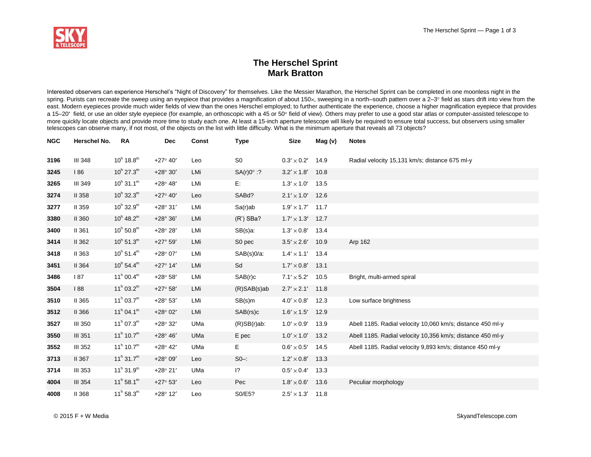

## **The Herschel Sprint Mark Bratton**

Interested observers can experience Herschel's "Night of Discovery" for themselves. Like the Messier Marathon, the Herschel Sprint can be completed in one moonless night in the spring. Purists can recreate the sweep using an eyepiece that provides a magnification of about 150x, sweeping in a north–south pattern over a 2-3° field as stars drift into view from the east. Modern eyepieces provide much wider fields of view than the ones Herschel employed; to further authenticate the experience, choose a higher magnification eyepiece that provides a 15–20' field, or use an older style eyepiece (for example, an orthoscopic with a 45 or 50° field of view). Others may prefer to use a good star atlas or computer-assisted telescope to more quickly locate objects and provide more time to study each one. At least a 15-inch aperture telescope will likely be required to ensure total success, but observers using smaller telescopes can observe many, if not most, of the objects on the list with little difficulty. What is the minimum aperture that reveals all 73 objects?

| <b>NGC</b> | Herschel No.   | <b>RA</b>                      | <b>Dec</b>        | <b>Const</b> | <b>Type</b>       | <b>Size</b>                        | Mag (v) | <b>Notes</b>                                               |
|------------|----------------|--------------------------------|-------------------|--------------|-------------------|------------------------------------|---------|------------------------------------------------------------|
| 3196       | <b>III 348</b> | $10^{\rm h}$ 18.8 $^{\rm m}$   | $+27^{\circ}$ 40' | Leo          | S <sub>0</sub>    | $0.3' \times 0.2'$                 | 14.9    | Radial velocity 15,131 km/s; distance 675 ml-y             |
| 3245       | 186            | $10^{h}$ 27.3 <sup>m</sup>     | $+28^{\circ} 30'$ | LMi          | $SA(r)0^\circ$ :? | $3.2' \times 1.8'$                 | 10.8    |                                                            |
| 3265       | <b>III 349</b> | $10^{h}$ 31.1 <sup>m</sup>     | $+28^{\circ} 48'$ | LMi          | E:                | $1.3' \times 1.0'$                 | 13.5    |                                                            |
| 3274       | <b>II 358</b>  | $10^h$ 32.3 <sup>m</sup>       | $+27^{\circ}$ 40' | Leo          | SABd?             | $2.1' \times 1.0'$                 | 12.6    |                                                            |
| 3277       | II 359         | $10^{h}$ 32.9 <sup>m</sup>     | $+28^{\circ}31'$  | LMi          | Sa(r)ab           | $1.9' \times 1.7'$                 | 11.7    |                                                            |
| 3380       | <b>II 360</b>  | $10^h$ 48.2 <sup>m</sup>       | $+28°36'$         | LMi          | $(R')$ SBa?       | $1.7^{\prime} \times 1.3^{\prime}$ | 12.7    |                                                            |
| 3400       | II 361         | $10^h 50.8^m$                  | $+28^{\circ} 28'$ | LMi          | SB(s)a:           | $1.3^{\prime} \times 0.8^{\prime}$ | 13.4    |                                                            |
| 3414       | II 362         | $10^{h}$ 51.3 <sup>m</sup>     | $+27°59'$         | LMi          | S0 pec            | $3.5' \times 2.6'$                 | 10.9    | Arp 162                                                    |
| 3418       | II 363         | $10^{h} 51.4^{m}$              | $+28^{\circ} 07'$ | LMi          | $SAB(s)0/a$ :     | $1.4' \times 1.1'$                 | 13.4    |                                                            |
| 3451       | <b>II 364</b>  | $10^h 54.4^m$                  | $+27^{\circ}$ 14' | LMi          | Sd                | $1.7' \times 0.8'$                 | 13.1    |                                                            |
| 3486       | 187            | $11^h 00.4^m$                  | $+28°58'$         | LMi          | SAB(r)c           | $7.1' \times 5.2'$                 | 10.5    | Bright, multi-armed spiral                                 |
| 3504       | 88             | $11^h$ 03.2 <sup>m</sup>       | $+27^{\circ} 58'$ | LMi          | (R)SAB(s)ab       | $2.7' \times 2.1'$                 | 11.8    |                                                            |
| 3510       | II 365         | $11^h$ 03.7 <sup>m</sup>       | $+28^{\circ} 53'$ | LMi          | SB(s)m            | $4.0' \times 0.8'$                 | 12.3    | Low surface brightness                                     |
| 3512       | II 366         | $11^h 04.1^m$                  | $+28^{\circ} 02'$ | LMi          | SAB(rs)c          | $1.6' \times 1.5'$                 | 12.9    |                                                            |
| 3527       | <b>III 350</b> | $11^h$ 07.3 <sup>m</sup>       | $+28^{\circ}32'$  | UMa          | $(R)SB(r)ab$ :    | $1.0' \times 0.9'$                 | 13.9    | Abell 1185. Radial velocity 10,060 km/s; distance 450 ml-y |
| 3550       | <b>III 351</b> | $11^h$ 10.7 <sup>m</sup>       | $+28^{\circ} 46'$ | UMa          | E pec             | $1.0' \times 1.0'$                 | 13.2    | Abell 1185. Radial velocity 10,356 km/s; distance 450 ml-y |
| 3552       | <b>III 352</b> | $11^h$ 10.7 <sup>m</sup>       | $+28^{\circ}$ 42' | UMa          | E.                | $0.6' \times 0.5'$                 | 14.5    | Abell 1185. Radial velocity 9,893 km/s; distance 450 ml-y  |
| 3713       | <b>II 367</b>  | $11^{\rm h}$ 31.7 <sup>m</sup> | $+28^{\circ}09'$  | Leo          | $SO -$ :          | $1.2' \times 0.8'$                 | 13.3    |                                                            |
| 3714       | <b>III 353</b> | $11^h$ 31.9 <sup>m</sup>       | $+28^{\circ} 21'$ | UMa          | $\overline{12}$   | $0.5' \times 0.4'$                 | 13.3    |                                                            |
| 4004       | <b>III 354</b> | $11^{\rm h}$ 58.1 <sup>m</sup> | $+27^{\circ} 53'$ | Leo          | Pec               | $1.8' \times 0.6'$                 | 13.6    | Peculiar morphology                                        |
| 4008       | <b>II 368</b>  | $11^h 58.3^m$                  | $+28^{\circ}$ 12' | Leo          | S0/E5?            | $2.5' \times 1.3'$                 | 11.8    |                                                            |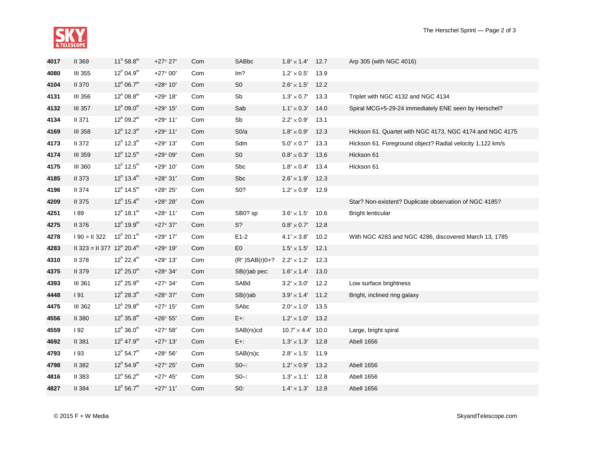

| 4017 | <b>II 369</b>                                         | $11^h 58.8^m$            | $+27^{\circ} 27'$ | Com | SABbc           | $1.8' \times 1.4'$                 | 12.7 | Arp 305 (with NGC 4016)                                   |
|------|-------------------------------------------------------|--------------------------|-------------------|-----|-----------------|------------------------------------|------|-----------------------------------------------------------|
| 4080 | <b>III 355</b>                                        | $12^h$ 04.9 <sup>m</sup> | $+27^{\circ} 00'$ | Com | Im?             | $1.2^{\prime} \times 0.5^{\prime}$ | 13.9 |                                                           |
| 4104 | <b>II 370</b>                                         | $12^h$ 06.7 <sup>m</sup> | $+28^{\circ} 10'$ | Com | S <sub>0</sub>  | $2.6' \times 1.5'$                 | 12.2 |                                                           |
| 4131 | <b>III 356</b>                                        | $12^h$ 08.8 <sup>m</sup> | $+29^{\circ} 18'$ | Com | Sb              | $1.3' \times 0.7'$                 | 13.3 | Triplet with NGC 4132 and NGC 4134                        |
| 4132 | <b>III 357</b>                                        | $12^h$ 09.0 <sup>m</sup> | $+29^{\circ} 15'$ | Com | Sab             | $1.1' \times 0.3'$                 | 14.0 | Spiral MCG+5-29-24 immediately ENE seen by Herschel?      |
| 4134 | <b>II 371</b>                                         | $12^h$ 09.2 <sup>m</sup> | $+29^{\circ}$ 11' | Com | Sb              | $2.2'\times0.9'$                   | 13.1 |                                                           |
| 4169 | <b>III 358</b>                                        | $12^h$ 12.3 <sup>m</sup> | $+29^{\circ}$ 11' | Com | SO/a            | $1.8' \times 0.9'$                 | 12.3 | Hickson 61. Quartet with NGC 4173, NGC 4174 and NGC 4175  |
| 4173 | <b>II 372</b>                                         | $12^h$ 12.3 <sup>m</sup> | $+29^{\circ} 13'$ | Com | Sdm             | $5.0' \times 0.7'$                 | 13.3 | Hickson 61. Foreground object? Radial velocity 1,122 km/s |
| 4174 | <b>III 359</b>                                        | $12^h$ 12.5 <sup>m</sup> | $+29^{\circ}09'$  | Com | S <sub>0</sub>  | $0.8^{\prime}\times0.3^{\prime}$   | 13.6 | Hickson 61                                                |
| 4175 | <b>III 360</b>                                        | $12^h$ 12.5 <sup>m</sup> | $+29^{\circ} 10'$ | Com | Sbc             | $1.8' \times 0.4'$                 | 13.4 | Hickson 61                                                |
| 4185 | <b>II 373</b>                                         | $12^h$ 13.4 <sup>m</sup> | $+28^{\circ}31'$  | Com | Sbc             | $2.6^{\prime}\times1.9^{\prime}$   | 12.3 |                                                           |
| 4196 | <b>II</b> 374                                         | $12^h$ 14.5 <sup>m</sup> | $+28^{\circ} 25'$ | Com | S0?             | $1.2' \times 0.9'$ 12.9            |      |                                                           |
| 4209 | <b>II 375</b>                                         | $12^h$ 15.4 <sup>m</sup> | $+28^{\circ} 28'$ | Com |                 |                                    |      | Star? Non-existent? Duplicate observation of NGC 4185?    |
| 4251 | <b>89</b>                                             | $12^h$ 18.1 <sup>m</sup> | $+28^{\circ}$ 11' | Com | SB0? sp         | $3.6' \times 1.5'$                 | 10.6 | <b>Bright lenticular</b>                                  |
| 4275 | II 376                                                | $12^h$ 19.9 <sup>m</sup> | $+27^{\circ} 37'$ | Com | S?              | $0.8^{\prime}\times0.7^{\prime}$   | 12.8 |                                                           |
| 4278 | $190 = 11322$                                         | $12^h$ 20.1 <sup>m</sup> | $+29^{\circ}$ 17' | Com | $E1-2$          | $4.1' \times 3.8'$                 | 10.2 | With NGC 4283 and NGC 4286, discovered March 13, 1785     |
| 4283 | $II$ 323 = $II$ 377 12 <sup>h</sup> 20.4 <sup>m</sup> |                          | $+29^{\circ} 19'$ | Com | E <sub>0</sub>  | $1.5^{\prime} \times 1.5^{\prime}$ | 12.1 |                                                           |
| 4310 | <b>II 378</b>                                         | $12^h$ 22.4 <sup>m</sup> | $+29^{\circ} 13'$ | Com | $(R')SAB(r)0+?$ | $2.2'\times1.2'$                   | 12.3 |                                                           |
| 4375 | <b>II 379</b>                                         | $12^h$ 25.0 <sup>m</sup> | $+28^{\circ} 34'$ | Com | SB(r)ab pec:    | $1.6' \times 1.4'$                 | 13.0 |                                                           |
| 4393 | <b>III 361</b>                                        | $12^h$ 25.9 <sup>m</sup> | $+27^{\circ} 34'$ | Com | SABd            | $3.2'\times3.0'$                   | 12.2 | Low surface brightness                                    |
| 4448 | 191                                                   | $12^h$ 28.3 <sup>m</sup> | $+28^{\circ}37'$  | Com | $SB(r)$ ab      | $3.9^{\prime}\times1.4^{\prime}$   | 11.2 | Bright, inclined ring galaxy                              |
| 4475 | <b>III 362</b>                                        | $12^h$ 29.8 <sup>m</sup> | $+27^{\circ} 15'$ | Com | SAbc            | $2.0' \times 1.0'$                 | 13.5 |                                                           |
| 4556 | <b>II 380</b>                                         | $12^h$ 35.8 <sup>m</sup> | $+26^{\circ} 55'$ | Com | $E+$ :          | $1.2' \times 1.0'$                 | 13.2 |                                                           |
| 4559 | 192                                                   | $12^h$ 36.0 <sup>m</sup> | $+27^{\circ} 58'$ | Com | SAB(rs)cd       | $10.7' \times 4.4'$ 10.0           |      | Large, bright spiral                                      |
| 4692 | <b>II 381</b>                                         | $12^h$ 47.9 <sup>m</sup> | $+27^{\circ} 13'$ | Com | $E+$ :          | $1.3' \times 1.3'$ 12.8            |      | Abell 1656                                                |
| 4793 | 193                                                   | $12^h 54.7^m$            | $+28^{\circ} 56'$ | Com | SAB(rs)c        | $2.8^{\prime}\times1.5^{\prime}$   | 11.9 |                                                           |
| 4798 | <b>II 382</b>                                         | $12^h 54.9^m$            | $+27^{\circ} 25'$ | Com | $SO-$ :         | $1.2' \times 0.9'$                 | 13.2 | Abell 1656                                                |
| 4816 | <b>II 383</b>                                         | $12^h 56.2^m$            | $+27^{\circ}$ 45' | Com | $S0 -$          | $1.3' \times 1.1'$                 | 12.8 | Abell 1656                                                |
| 4827 | <b>II</b> 384                                         | $12^h 56.7^m$            | $+27^{\circ}$ 11' | Com | $S0$ :          | $1.4' \times 1.3'$ 12.8            |      | Abell 1656                                                |